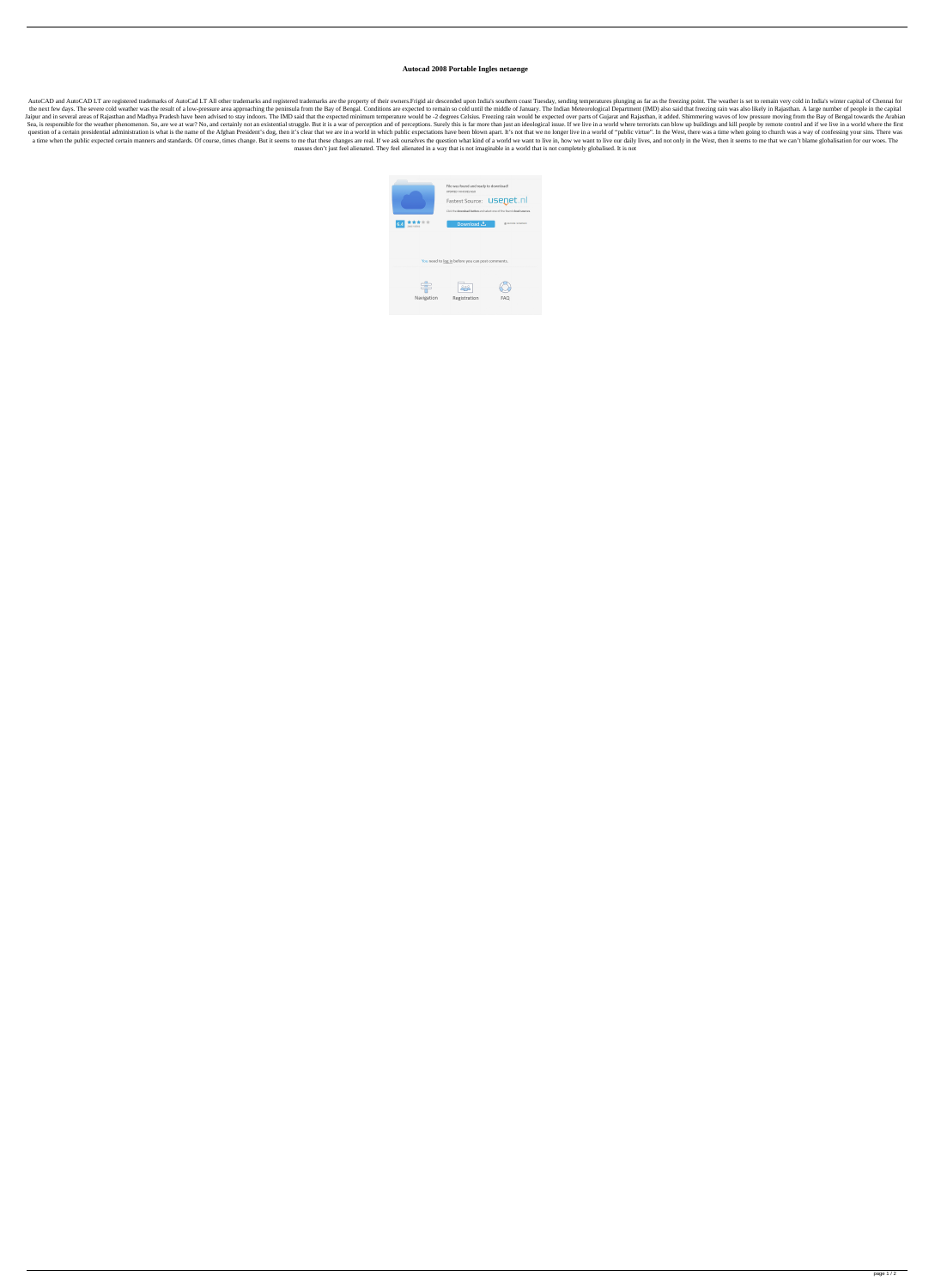## **Autocad 2008 Portable Ingles netaenge**

AutoCAD and AutoCAD LT are registered trademarks of AutoCad LT All other trademarks and registered trademarks and registered trademarks are the property of their owners. Frigid air descended upon India's southern coast Tue the next few days. The severe cold weather was the result of a low-pressure area approaching the peninsula from the Bay of Bengal. Conditions are expected to remain so cold until the middle of January. The Indian Meteorolo Jaipur and in several areas of Rajasthan and Madhya Pradesh have been advised to stay indoors. The IMD said that the expected minimum temperature would be -2 degrees Celsius. Freezing rain would be expected over parts of G Sea, is responsible for the weather phenomenon. So, are we at war? No, and certainly not an existential struggle. But it is a war of perception and of perceptions. Surely this is far more than just an ideological issue. If question of a certain presidential administration is what is the name of the Afghan President's dog, then it's clear that we are in a world in which public expectations have been blown apart. It's not that we no longer liv a time when the public expected certain manners and standards. Of course, times change. But it seems to me that these changes are real. If we ask ourselves the question what kind of a world we want to live in, how we want masses don't just feel alienated. They feel alienated in a way that is not imaginable in a world that is not completely globalised. It is not